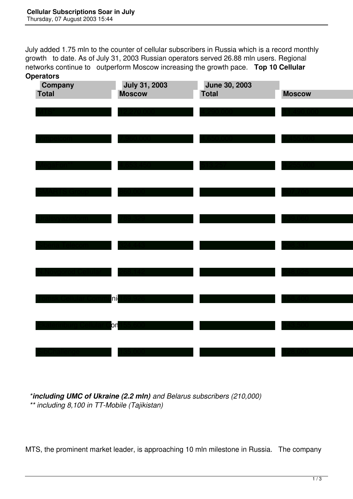July added 1.75 mln to the counter of cellular subscribers in Russia which is a record monthly growth to date. As of July 31, 2003 Russian operators served 26.88 mln users. Regional networks continue to outperform Moscow increasing the growth pace. **Top 10 Cellular Operators**

| -------<br>Company<br><b>Total</b> | <b>July 31, 2003</b><br><b>Moscow</b> | <b>June 30, 2003</b><br><b>Total</b> | <b>Moscow</b> |
|------------------------------------|---------------------------------------|--------------------------------------|---------------|
|                                    |                                       |                                      |               |
|                                    |                                       |                                      |               |
|                                    |                                       |                                      |               |
|                                    | $\cdot$ . The set of $\cdot$          | 13.25/                               |               |
|                                    |                                       |                                      |               |
|                                    |                                       |                                      |               |
|                                    |                                       |                                      |               |
|                                    |                                       |                                      |               |
|                                    |                                       |                                      |               |
| Jellular Go                        | ni                                    |                                      |               |
|                                    |                                       |                                      |               |
|                                    | þη                                    |                                      |               |
|                                    |                                       |                                      |               |

 *\*including UMC of Ukraine (2.2 mln) and Belarus subscribers (210,000) \*\* including 8,100 in TT-Mobile (Tajikistan)*

MTS, the prominent market leader, is approaching 10 mln milestone in Russia. The company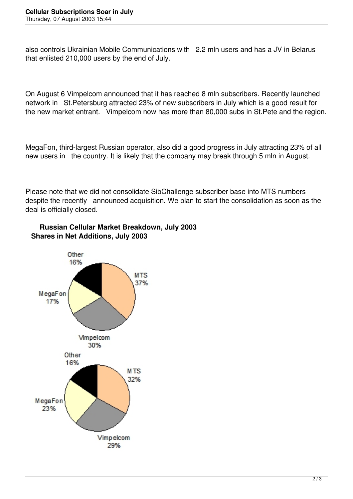also controls Ukrainian Mobile Communications with 2.2 mln users and has a JV in Belarus that enlisted 210,000 users by the end of July.

On August 6 Vimpelcom announced that it has reached 8 mln subscribers. Recently launched network in St.Petersburg attracted 23% of new subscribers in July which is a good result for the new market entrant. Vimpelcom now has more than 80,000 subs in St.Pete and the region.

MegaFon, third-largest Russian operator, also did a good progress in July attracting 23% of all new users in the country. It is likely that the company may break through 5 mln in August.

Please note that we did not consolidate SibChallenge subscriber base into MTS numbers despite the recently announced acquisition. We plan to start the consolidation as soon as the deal is officially closed.



## **Russian Cellular Market Breakdown, July 2003 Shares in Net Additions, July 2003**